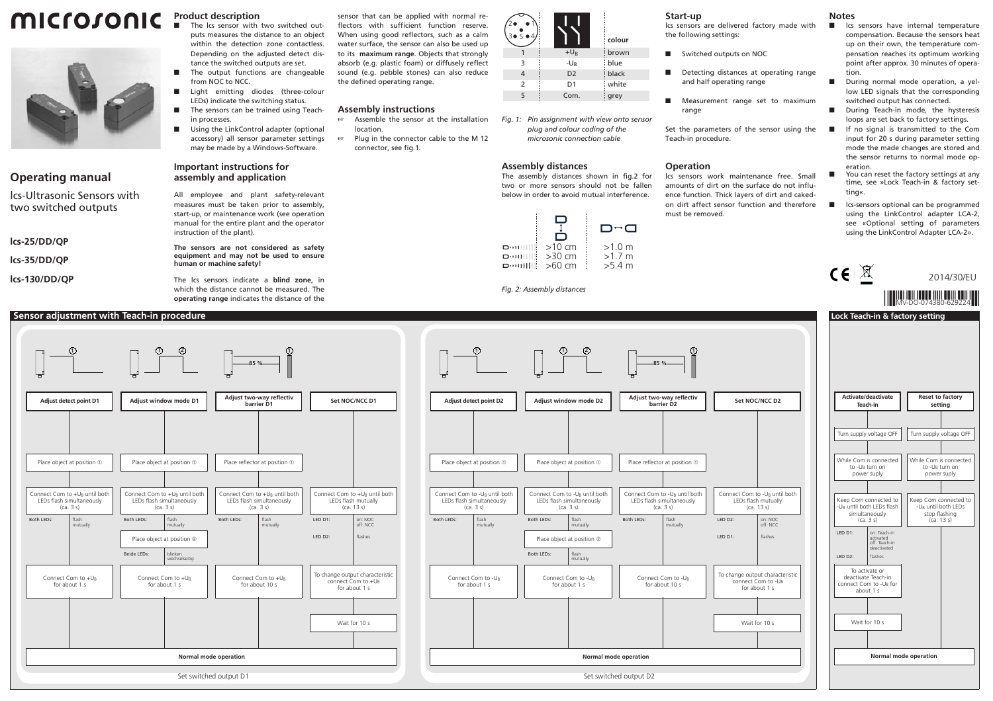# **MICFOJONIC** Product description



### **Operating manual**

lcs-Ultrasonic Sensors with two switched outputs

**lcs-25/DD/QP**

**lcs-35/DD/QP**

**lcs-130/DD/QP**

 The lcs sensor with two switched outputs measures the distance to an object within the detection zone contactless. Depending on the adjusted detect distance the switched outputs are set.

- The output functions are changeable from NOC to NCC.
- Light emitting diodes (three-colour LEDs) indicate the switching status.
- The sensors can be trained using Teachin processes.
- Using the LinkControl adapter (optional accessory) all sensor parameter settings may be made by a Windows-Software.

#### **Important instructions for assembly and application**

All employee and plant safety-relevant measures must be taken prior to assembly, start-up, or maintenance work (see operation manual for the entire plant and the operator instruction of the plant).

**The sensors are not considered as safety equipment and may not be used to ensure human or machine safety!**

The lcs sensors indicate a **blind zone**, in which the distance cannot be measured. The **operating range** indicates the distance of the sensor that can be applied with normal reflectors with sufficient function reserve. When using good reflectors, such as a calm water surface, the sensor can also be used up to its **maximum range**. Objects that strongly absorb (e.g. plastic foam) or diffusely reflect sound (e.g. pebble stones) can also reduce the defined operating range.

#### **Assembly instructions**

- - Assemble the sensor at the installation location.
- $\mathbb{R} \mathbb{R}^n$  Plug in the connector cable to the M 12 connector, see fig.1.

| 2١<br>$3 \bullet 5 \bullet 4$ |                | colour |
|-------------------------------|----------------|--------|
|                               | $+U_B$         | brown  |
| 3                             | $-U_B$         | blue   |
| 4                             | D <sub>2</sub> | black  |
| $\overline{2}$                | D <sub>1</sub> | white  |
| 5                             | Com.           | grey   |

*Fig. 1: Pin assignment with view onto sensor plug and colour coding of the microsonic connection cable*

wn

#### **Assembly distances**

The assembly distances shown in fig.2 for two or more sensors should not be fallen below in order to avoid mutual interference.

|                         |          | ⊓∼ר    |
|-------------------------|----------|--------|
| <b>D</b> : 11 1 1 1 1 1 | $>10$ cm | >1.0 m |
| o…⊞⊞                    | $>30$ cm | >17m   |
| וווויים                 | $>60$ cm | >5.4 m |

 $1$  1  $1$   $1$   $1$   $1$   $1$   $1$ 

**Adjust window mode D2**

Place object at position  $\Phi$ 

Connect Com to -UB until both LEDs flash simultaneously  $(c - 3s)$ 

Place object at position 2 flash mutually

flash mutually

Connect Com to -U<sub>B</sub> for about 1 s

Both LEDs:

Both LEDs:

(ca. 3 s)

Connect Com to -UR for about 1 s

mutually

#### **Start-up**

lcs sensors are delivered factory made with the following settings:

- Switched outputs on NOC
- Detecting distances at operating range and half operating range
- Measurement range set to maximum range

Set the parameters of the sensor using the Teach-in procedure.

#### **Operation**

**Adjust two-way reflectiv barrier D2**

85 %

Place reflector at position  $\Phi$ 

Connect Com to -UB until both LEDs flash simultaneously  $(c - 3s)$ Both LEDs: Flash

> Connect Com to -UR for about 10 s

mutually

lcs sensors work maintenance free. Small amounts of dirt on the surface do not influence function. Thick layers of dirt and cakedon dirt affect sensor function and therefore must be removed.

LED D2: LED D1:

## **Notes**

- lcs sensors have internal temperature compensation. Because the sensors heat up on their own, the temperature compensation reaches its optimum working point after approx. 30 minutes of operation.
- During normal mode operation, a yellow LED signals that the corresponding switched output has connected.
- During Teach-in mode, the hysteresis loops are set back to factory settings.
- If no signal is transmitted to the Com input for 20 s during parameter setting mode the made changes are stored and the sensor returns to normal mode operation.
- You can reset the factory settings at any time, see »Lock Teach-in & factory setting«.
- **lack-sensors optional can be programmed** using the LinkControl adapter LCA-2, see «Optional setting of parameters using the LinkControl Adapter LCA-2».

|        |                                                                        | CE      |                                                                                  |                                                  | 2014/30/EU             |
|--------|------------------------------------------------------------------------|---------|----------------------------------------------------------------------------------|--------------------------------------------------|------------------------|
|        |                                                                        |         |                                                                                  |                                                  |                        |
|        |                                                                        |         |                                                                                  | Lock Teach-in & factory setting                  |                        |
|        |                                                                        |         |                                                                                  |                                                  |                        |
|        |                                                                        |         |                                                                                  |                                                  |                        |
|        |                                                                        |         |                                                                                  |                                                  |                        |
|        | Set NOC/NCC D2                                                         |         | Activate/deactivate<br>Teach-in                                                  | <b>Reset to factory</b><br>setting               |                        |
|        |                                                                        |         |                                                                                  |                                                  |                        |
|        |                                                                        |         | Turn supply voltage OFF                                                          | Turn supply voltage OFF                          |                        |
|        |                                                                        |         | While Com is connected<br>to -U <sub>B</sub> turn on<br>power suply              | to -UR turn on<br>power suply                    | While Com is connected |
|        |                                                                        |         |                                                                                  |                                                  |                        |
|        | Connect Com to -UB until both<br>LEDs flash mutually<br>(ca. 13 s)     |         | Keep Com connected to<br>-U <sub>B</sub> until both LEDs flash<br>simultaneously | -U <sub>B</sub> until both LEDs<br>stop flashing | Keep Com connected to  |
| ED D2: | on: NOC<br>off: NCC                                                    | LED D1: | (ca. 3 s)<br>on: Teach-in                                                        | (ca. 13 s)                                       |                        |
| ED D1: | flashes                                                                |         | activated<br>off: Teach-in<br>deactivated                                        |                                                  |                        |
|        |                                                                        | LED D2: | flashes                                                                          |                                                  |                        |
|        | To change output characteristic<br>connect Com to -UB<br>for about 1 s |         | To activate or<br>deactivate Teach-in<br>connect Com to -UB for<br>about 1 s     |                                                  |                        |
|        |                                                                        |         |                                                                                  |                                                  |                        |
|        | Wait for 10 s                                                          |         | Wait for 10 s                                                                    |                                                  |                        |
|        |                                                                        |         |                                                                                  |                                                  |                        |
|        |                                                                        |         |                                                                                  | Normal mode operation                            |                        |
|        |                                                                        |         |                                                                                  |                                                  |                        |
|        |                                                                        |         |                                                                                  |                                                  |                        |



- - DOU

*Fig. 2: Assembly distances*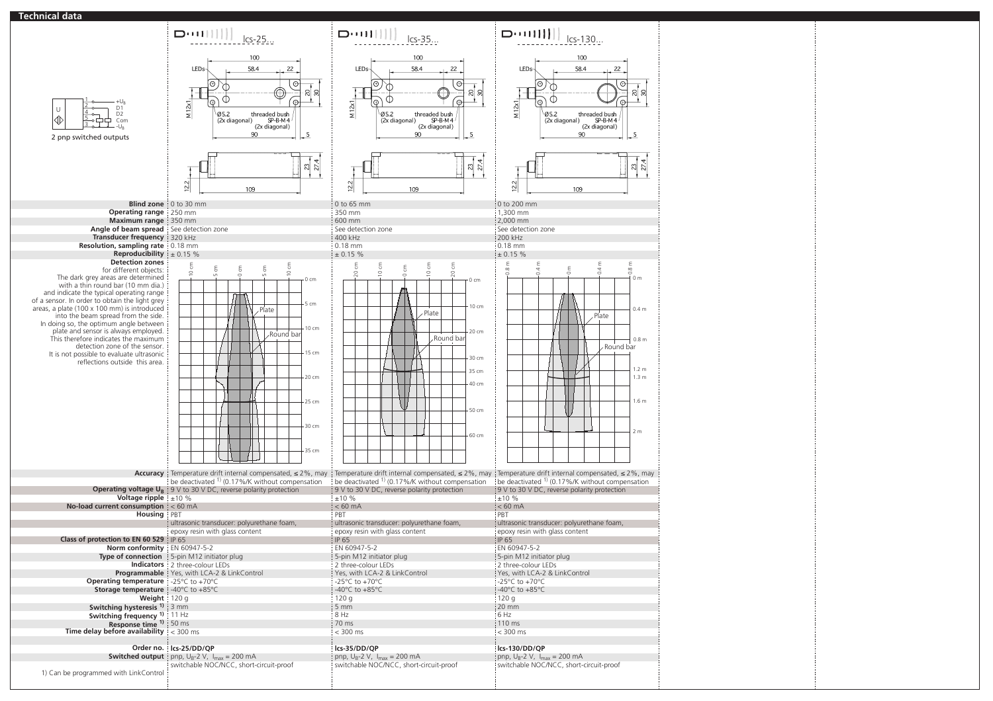#### **Technical data**